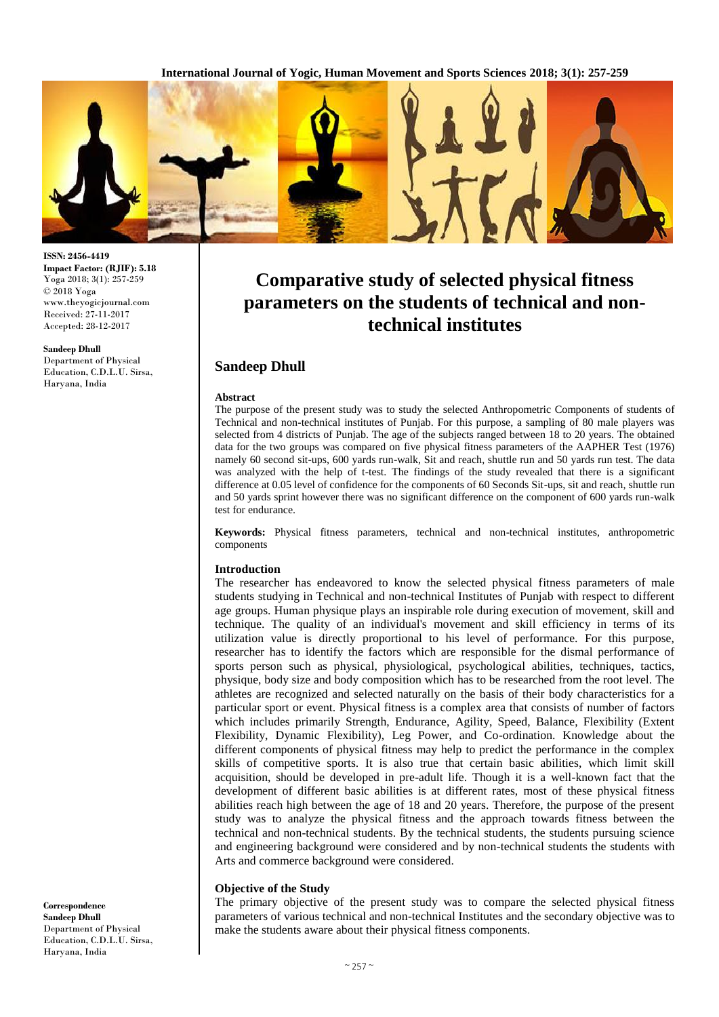**International Journal of Yogic, Human Movement and Sports Sciences 2018; 3(1): 257-259**



**ISSN: 2456-4419 Impact Factor: (RJIF): 5.18** Yoga 2018; 3(1): 257-259 © 2018 Yoga www.theyogicjournal.com Received: 27-11-2017 Accepted: 28-12-2017

**Sandeep Dhull** Department of Physical Education, C.D.L.U. Sirsa, Haryana, India

**Comparative study of selected physical fitness parameters on the students of technical and nontechnical institutes**

# **Sandeep Dhull**

### **Abstract**

The purpose of the present study was to study the selected Anthropometric Components of students of Technical and non-technical institutes of Punjab. For this purpose, a sampling of 80 male players was selected from 4 districts of Punjab. The age of the subjects ranged between 18 to 20 years. The obtained data for the two groups was compared on five physical fitness parameters of the AAPHER Test (1976) namely 60 second sit-ups, 600 yards run-walk, Sit and reach, shuttle run and 50 yards run test. The data was analyzed with the help of t-test. The findings of the study revealed that there is a significant difference at 0.05 level of confidence for the components of 60 Seconds Sit-ups, sit and reach, shuttle run and 50 yards sprint however there was no significant difference on the component of 600 yards run-walk test for endurance.

**Keywords:** Physical fitness parameters, technical and non-technical institutes, anthropometric components

### **Introduction**

The researcher has endeavored to know the selected physical fitness parameters of male students studying in Technical and non-technical Institutes of Punjab with respect to different age groups. Human physique plays an inspirable role during execution of movement, skill and technique. The quality of an individual's movement and skill efficiency in terms of its utilization value is directly proportional to his level of performance. For this purpose, researcher has to identify the factors which are responsible for the dismal performance of sports person such as physical, physiological, psychological abilities, techniques, tactics, physique, body size and body composition which has to be researched from the root level. The athletes are recognized and selected naturally on the basis of their body characteristics for a particular sport or event. Physical fitness is a complex area that consists of number of factors which includes primarily Strength, Endurance, Agility, Speed, Balance, Flexibility (Extent Flexibility, Dynamic Flexibility), Leg Power, and Co-ordination. Knowledge about the different components of physical fitness may help to predict the performance in the complex skills of competitive sports. It is also true that certain basic abilities, which limit skill acquisition, should be developed in pre-adult life. Though it is a well-known fact that the development of different basic abilities is at different rates, most of these physical fitness abilities reach high between the age of 18 and 20 years. Therefore, the purpose of the present study was to analyze the physical fitness and the approach towards fitness between the technical and non-technical students. By the technical students, the students pursuing science and engineering background were considered and by non-technical students the students with Arts and commerce background were considered.

## **Objective of the Study**

The primary objective of the present study was to compare the selected physical fitness parameters of various technical and non-technical Institutes and the secondary objective was to make the students aware about their physical fitness components.

**Correspondence Sandeep Dhull** Department of Physical Education, C.D.L.U. Sirsa, Haryana, India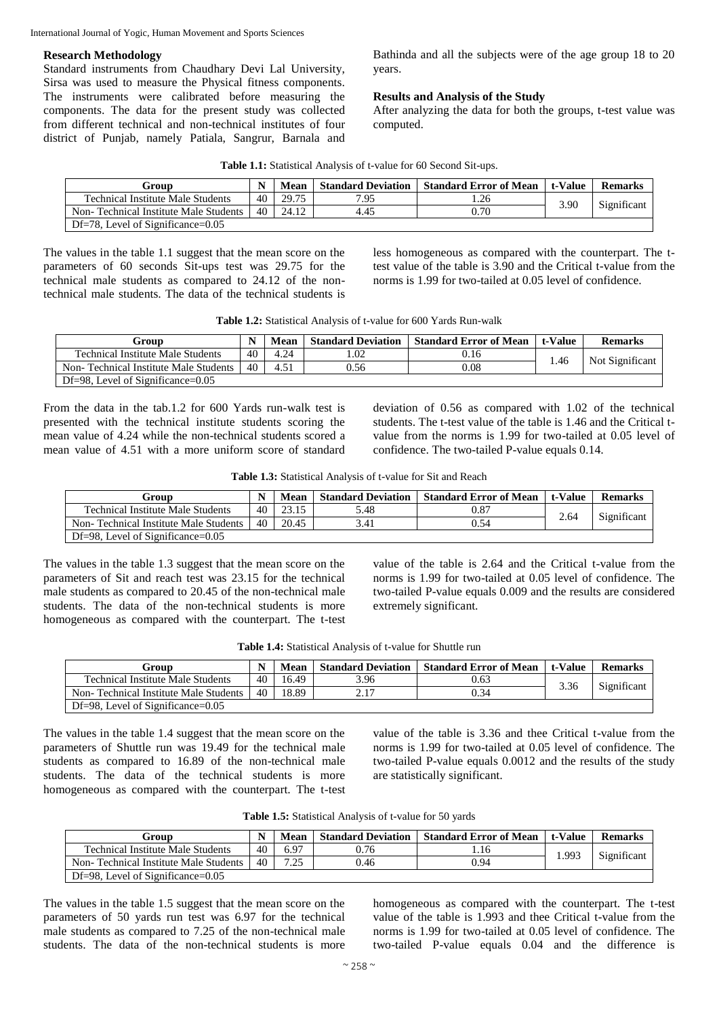#### International Journal of Yogic, Human Movement and Sports Sciences

## **Research Methodology**

Standard instruments from Chaudhary Devi Lal University, Sirsa was used to measure the Physical fitness components. The instruments were calibrated before measuring the components. The data for the present study was collected from different technical and non-technical institutes of four district of Punjab, namely Patiala, Sangrur, Barnala and Bathinda and all the subjects were of the age group 18 to 20 years.

## **Results and Analysis of the Study**

After analyzing the data for both the groups, t-test value was computed.

| Table 1.1: Statistical Analysis of t-value for 60 Second Sit-ups. |  |  |  |
|-------------------------------------------------------------------|--|--|--|
|-------------------------------------------------------------------|--|--|--|

| Group                                    |    | Mean  | <b>Standard Deviation</b> | <b>Standard Error of Mean</b> | t-Value | <b>Remarks</b> |
|------------------------------------------|----|-------|---------------------------|-------------------------------|---------|----------------|
| <b>Technical Institute Male Students</b> | 40 | 29.75 | 7.95                      |                               | 3.90    | Significant    |
| Non-Technical Institute Male Students    | 40 | 24.12 | 4.45                      | 0.70                          |         |                |
| $Df=78$ , Level of Significance= $0.05$  |    |       |                           |                               |         |                |

The values in the table 1.1 suggest that the mean score on the parameters of 60 seconds Sit-ups test was 29.75 for the technical male students as compared to 24.12 of the nontechnical male students. The data of the technical students is less homogeneous as compared with the counterpart. The ttest value of the table is 3.90 and the Critical t-value from the norms is 1.99 for two-tailed at 0.05 level of confidence.

| Group                                    |    | Mean | <b>Standard Deviation</b> | <b>Standard Error of Mean</b> | t-Value | <b>Remarks</b>  |
|------------------------------------------|----|------|---------------------------|-------------------------------|---------|-----------------|
| <b>Technical Institute Male Students</b> | 40 | 4.24 | .02                       | 0.16                          | . 46    | Not Significant |
| Non-Technical Institute Male Students    | 40 | 4.51 | 9.56                      | 0.08                          |         |                 |
| Df=98, Level of Significance= $0.05$     |    |      |                           |                               |         |                 |

From the data in the tab.1.2 for 600 Yards run-walk test is presented with the technical institute students scoring the mean value of 4.24 while the non-technical students scored a mean value of 4.51 with a more uniform score of standard deviation of 0.56 as compared with 1.02 of the technical students. The t-test value of the table is 1.46 and the Critical tvalue from the norms is 1.99 for two-tailed at 0.05 level of confidence. The two-tailed P-value equals 0.14.

|  | Table 1.3: Statistical Analysis of t-value for Sit and Reach |  |  |  |  |
|--|--------------------------------------------------------------|--|--|--|--|
|  |                                                              |  |  |  |  |

| Group                                    | N  | Mean  | <b>Standard Deviation</b> | <b>Standard Error of Mean   t-Value</b> |      | <b>Remarks</b> |
|------------------------------------------|----|-------|---------------------------|-----------------------------------------|------|----------------|
| <b>Technical Institute Male Students</b> | 40 | 23.15 | 5.48                      | 0.87                                    | 2.64 | Significant    |
| Non-Technical Institute Male Students    | 40 | 20.45 | 3.41                      | 0.54                                    |      |                |
| $Df=98$ , Level of Significance= $0.05$  |    |       |                           |                                         |      |                |

The values in the table 1.3 suggest that the mean score on the parameters of Sit and reach test was 23.15 for the technical male students as compared to 20.45 of the non-technical male students. The data of the non-technical students is more homogeneous as compared with the counterpart. The t-test value of the table is 2.64 and the Critical t-value from the norms is 1.99 for two-tailed at 0.05 level of confidence. The two-tailed P-value equals 0.009 and the results are considered extremely significant.

| Group                                    |    | Mean  | <b>Standard Deviation</b> | <b>Standard Error of Mean   t-Value</b> |      | <b>Remarks</b> |
|------------------------------------------|----|-------|---------------------------|-----------------------------------------|------|----------------|
| <b>Technical Institute Male Students</b> | 40 | 16.49 | 3.96                      | 0.63                                    | 3.36 | Significant    |
| Non-Technical Institute Male Students    | 40 | 18.89 | 2.17                      | 0.34                                    |      |                |
| $Df=98$ , Level of Significance= $0.05$  |    |       |                           |                                         |      |                |

**Table 1.4:** Statistical Analysis of t-value for Shuttle run

The values in the table 1.4 suggest that the mean score on the parameters of Shuttle run was 19.49 for the technical male students as compared to 16.89 of the non-technical male students. The data of the technical students is more homogeneous as compared with the counterpart. The t-test

value of the table is 3.36 and thee Critical t-value from the norms is 1.99 for two-tailed at 0.05 level of confidence. The two-tailed P-value equals 0.0012 and the results of the study are statistically significant.

| Table 1.5: Statistical Analysis of t-value for 50 yards |  |
|---------------------------------------------------------|--|
|---------------------------------------------------------|--|

| Group                                    |    | Mean     | <b>Standard Deviation</b> | <b>Standard Error of Mean</b> | t-Value | <b>Remarks</b> |
|------------------------------------------|----|----------|---------------------------|-------------------------------|---------|----------------|
| <b>Technical Institute Male Students</b> | 40 | 6.97     | 0.76                      | . . 16                        | 1.993   | Significant    |
| Non-Technical Institute Male Students    | 40 | $\Delta$ | 0.46                      | 0.94                          |         |                |
| $Df=98$ , Level of Significance= $0.05$  |    |          |                           |                               |         |                |

The values in the table 1.5 suggest that the mean score on the parameters of 50 yards run test was 6.97 for the technical male students as compared to 7.25 of the non-technical male students. The data of the non-technical students is more

homogeneous as compared with the counterpart. The t-test value of the table is 1.993 and thee Critical t-value from the norms is 1.99 for two-tailed at 0.05 level of confidence. The two-tailed P-value equals 0.04 and the difference is